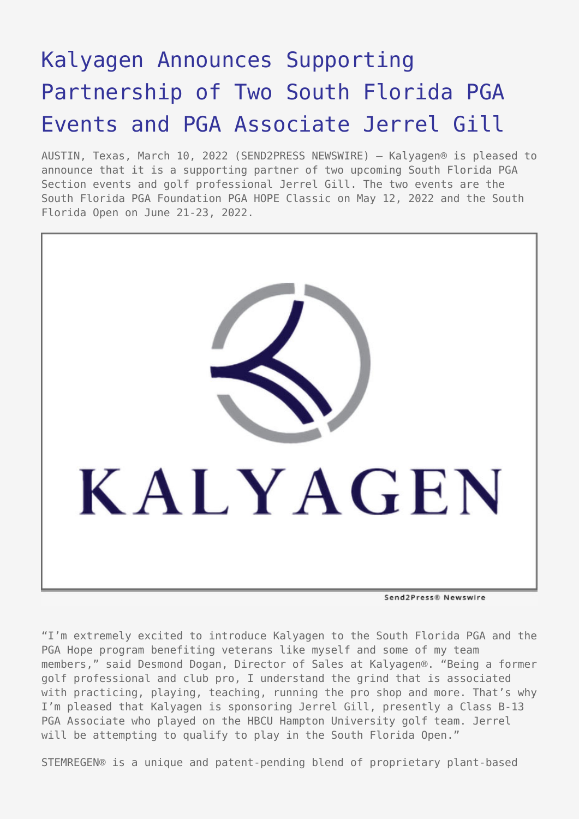# [Kalyagen Announces Supporting](https://www.send2press.com/wire/kalyagen-announces-supporting-partnership-of-two-south-florida-pga-events-and-pga-associate-jerrel-gill/) [Partnership of Two South Florida PGA](https://www.send2press.com/wire/kalyagen-announces-supporting-partnership-of-two-south-florida-pga-events-and-pga-associate-jerrel-gill/) [Events and PGA Associate Jerrel Gill](https://www.send2press.com/wire/kalyagen-announces-supporting-partnership-of-two-south-florida-pga-events-and-pga-associate-jerrel-gill/)

AUSTIN, Texas, March 10, 2022 (SEND2PRESS NEWSWIRE) — Kalyagen® is pleased to announce that it is a supporting partner of two upcoming South Florida PGA Section events and golf professional Jerrel Gill. The two events are the South Florida PGA Foundation PGA HOPE Classic on May 12, 2022 and the South Florida Open on June 21-23, 2022.



Send2Press® Newswire

"I'm extremely excited to introduce Kalyagen to the South Florida PGA and the PGA Hope program benefiting veterans like myself and some of my team members," said Desmond Dogan, Director of Sales at Kalyagen®. "Being a former golf professional and club pro, I understand the grind that is associated with practicing, playing, teaching, running the pro shop and more. That's why I'm pleased that Kalyagen is sponsoring Jerrel Gill, presently a Class B-13 PGA Associate who played on the HBCU Hampton University golf team. Jerrel will be attempting to qualify to play in the South Florida Open."

STEMREGEN® is a unique and patent-pending blend of proprietary plant-based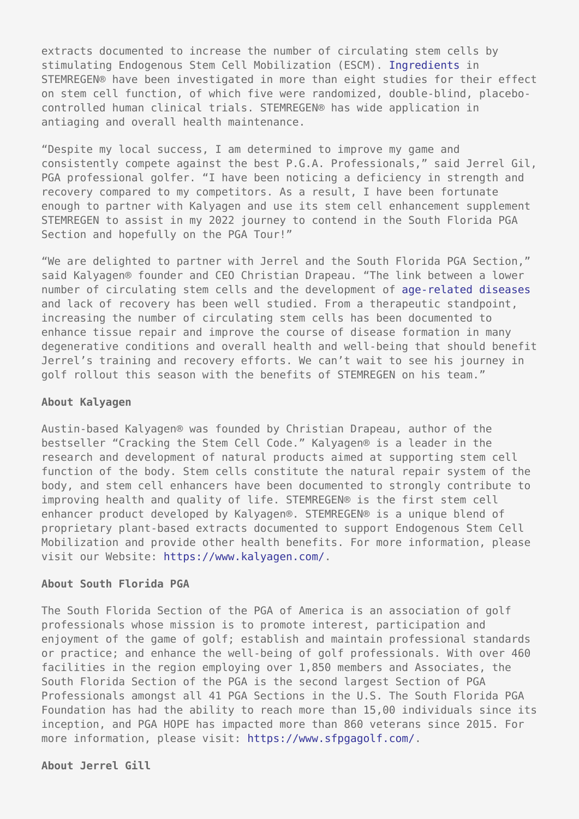extracts documented to increase the number of circulating stem cells by stimulating Endogenous Stem Cell Mobilization (ESCM). [Ingredients](https://www.kalyagen.com/ingredients/) in STEMREGEN® have been investigated in more than eight studies for their effect on stem cell function, of which five were randomized, double-blind, placebocontrolled human clinical trials. STEMREGEN® has wide application in antiaging and overall health maintenance.

"Despite my local success, I am determined to improve my game and consistently compete against the best P.G.A. Professionals," said Jerrel Gil, PGA professional golfer. "I have been noticing a deficiency in strength and recovery compared to my competitors. As a result, I have been fortunate enough to partner with Kalyagen and use its stem cell enhancement supplement STEMREGEN to assist in my 2022 journey to contend in the South Florida PGA Section and hopefully on the PGA Tour!"

"We are delighted to partner with Jerrel and the South Florida PGA Section," said Kalyagen® founder and CEO Christian Drapeau. "The link between a lower number of circulating stem cells and the development of [age-related diseases](https://www.kalyagen.com/cardiovascular-system/) and lack of recovery has been well studied. From a therapeutic standpoint, increasing the number of circulating stem cells has been documented to enhance tissue repair and improve the course of disease formation in many degenerative conditions and overall health and well-being that should benefit Jerrel's training and recovery efforts. We can't wait to see his journey in golf rollout this season with the benefits of STEMREGEN on his team."

#### **About Kalyagen**

Austin-based Kalyagen® was founded by Christian Drapeau, author of the bestseller "Cracking the Stem Cell Code." Kalyagen® is a leader in the research and development of natural products aimed at supporting stem cell function of the body. Stem cells constitute the natural repair system of the body, and stem cell enhancers have been documented to strongly contribute to improving health and quality of life. STEMREGEN® is the first stem cell enhancer product developed by Kalyagen®. STEMREGEN® is a unique blend of proprietary plant-based extracts documented to support Endogenous Stem Cell Mobilization and provide other health benefits. For more information, please visit our Website: [https://www.kalyagen.com/.](https://www.kalyagen.com/)

## **About South Florida PGA**

The South Florida Section of the PGA of America is an association of golf professionals whose mission is to promote interest, participation and enjoyment of the game of golf; establish and maintain professional standards or practice; and enhance the well-being of golf professionals. With over 460 facilities in the region employing over 1,850 members and Associates, the South Florida Section of the PGA is the second largest Section of PGA Professionals amongst all 41 PGA Sections in the U.S. The South Florida PGA Foundation has had the ability to reach more than 15,00 individuals since its inception, and PGA HOPE has impacted more than 860 veterans since 2015. For more information, please visit: [https://www.sfpgagolf.com/.](https://www.sfpgagolf.com/)

**About Jerrel Gill**